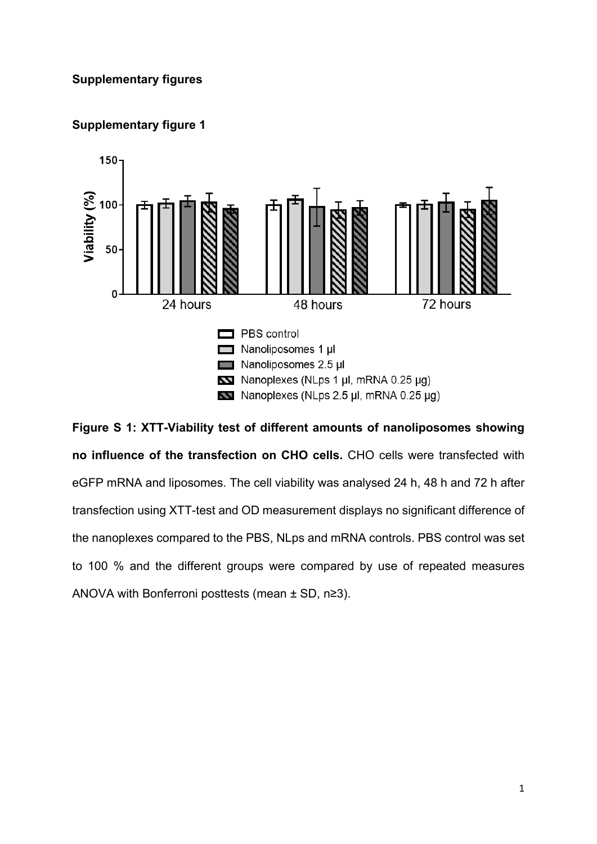



**Figure S 1: XTT-Viability test of different amounts of nanoliposomes showing no influence of the transfection on CHO cells.** CHO cells were transfected with eGFP mRNA and liposomes. The cell viability was analysed 24 h, 48 h and 72 h after transfection using XTT-test and OD measurement displays no significant difference of the nanoplexes compared to the PBS, NLps and mRNA controls. PBS control was set to 100 % and the different groups were compared by use of repeated measures ANOVA with Bonferroni posttests (mean ± SD, n≥3).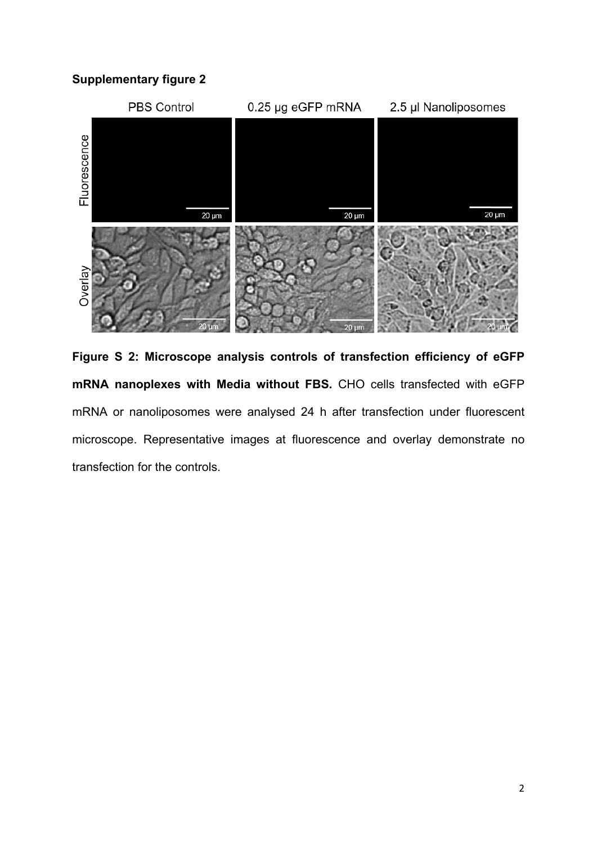

**Figure S 2: Microscope analysis controls of transfection efficiency of eGFP mRNA nanoplexes with Media without FBS.** CHO cells transfected with eGFP mRNA or nanoliposomes were analysed 24 h after transfection under fluorescent microscope. Representative images at fluorescence and overlay demonstrate no transfection for the controls.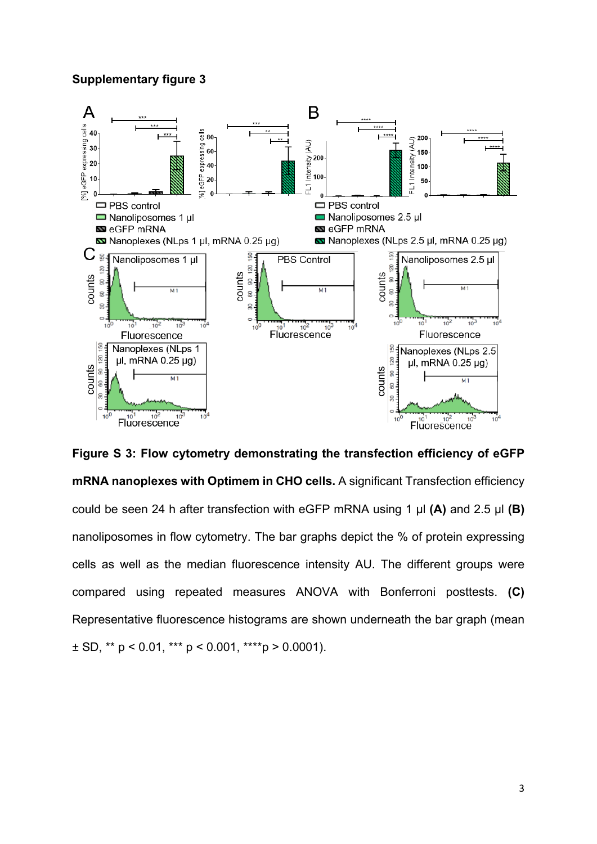

**Figure S 3: Flow cytometry demonstrating the transfection efficiency of eGFP mRNA nanoplexes with Optimem in CHO cells.** A significant Transfection efficiency could be seen 24 h after transfection with eGFP mRNA using 1 μl **(A)** and 2.5 μl **(B)** nanoliposomes in flow cytometry. The bar graphs depict the % of protein expressing cells as well as the median fluorescence intensity AU. The different groups were compared using repeated measures ANOVA with Bonferroni posttests. **(C)** Representative fluorescence histograms are shown underneath the bar graph (mean  $\pm$  SD, \*\* p < 0.01, \*\*\* p < 0.001, \*\*\*\*p > 0.0001).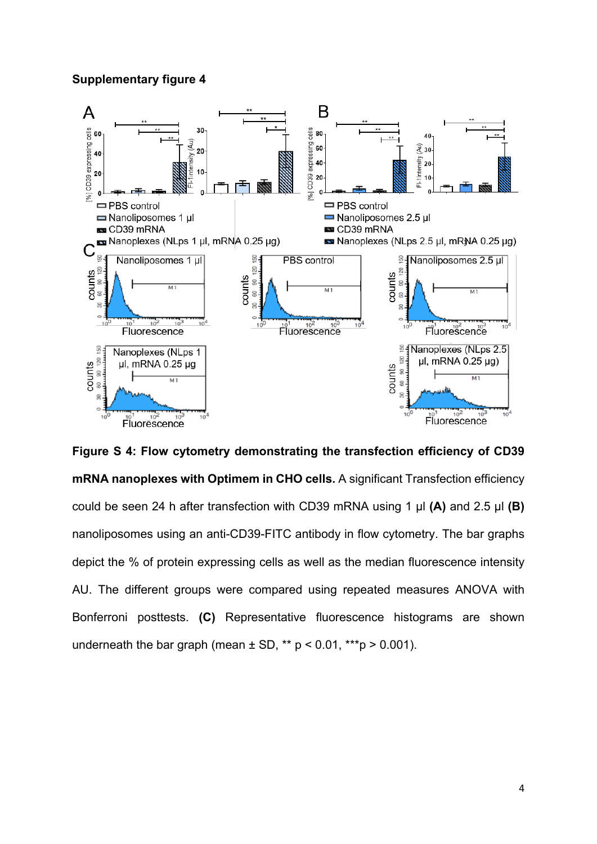

**Figure S 4: Flow cytometry demonstrating the transfection efficiency of CD39 mRNA nanoplexes with Optimem in CHO cells.** A significant Transfection efficiency could be seen 24 h after transfection with CD39 mRNA using 1 μl **(A)** and 2.5 μl **(B)** nanoliposomes using an anti-CD39-FITC antibody in flow cytometry. The bar graphs depict the % of protein expressing cells as well as the median fluorescence intensity AU. The different groups were compared using repeated measures ANOVA with Bonferroni posttests. **(C)** Representative fluorescence histograms are shown underneath the bar graph (mean  $\pm$  SD, \*\* p < 0.01, \*\*\* p > 0.001).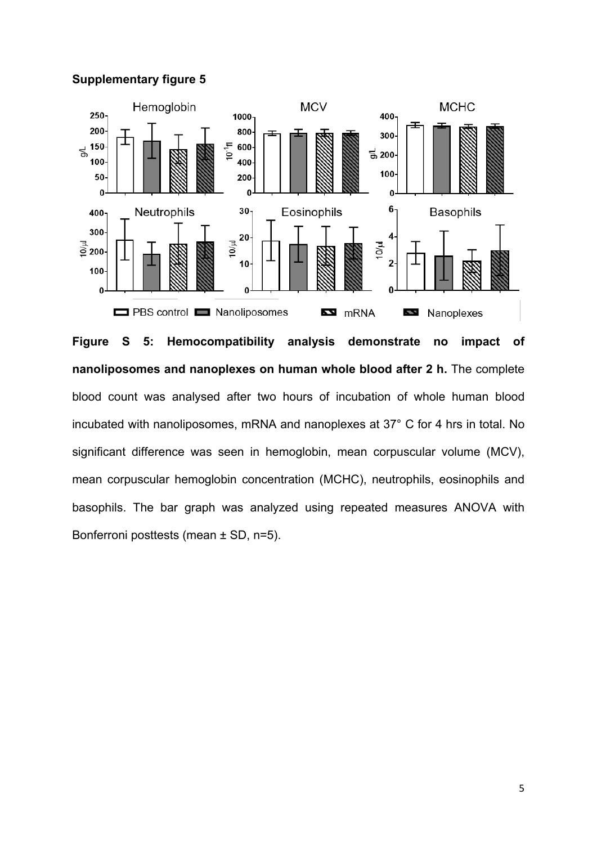

**Figure S 5: Hemocompatibility analysis demonstrate no impact of nanoliposomes and nanoplexes on human whole blood after 2 h.** The complete blood count was analysed after two hours of incubation of whole human blood incubated with nanoliposomes, mRNA and nanoplexes at 37° C for 4 hrs in total. No significant difference was seen in hemoglobin, mean corpuscular volume (MCV), mean corpuscular hemoglobin concentration (MCHC), neutrophils, eosinophils and basophils. The bar graph was analyzed using repeated measures ANOVA with Bonferroni posttests (mean ± SD, n=5).